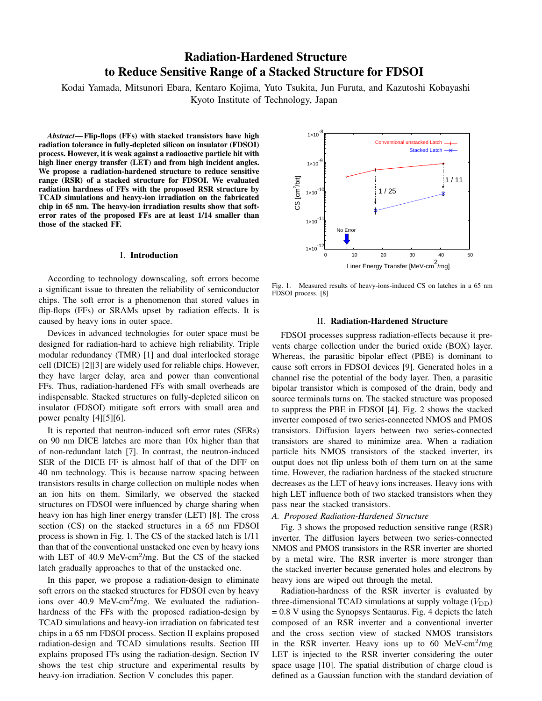# Radiation-Hardened Structure to Reduce Sensitive Range of a Stacked Structure for FDSOI

Kodai Yamada, Mitsunori Ebara, Kentaro Kojima, Yuto Tsukita, Jun Furuta, and Kazutoshi Kobayashi Kyoto Institute of Technology, Japan

*Abstract*— Flip-flops (FFs) with stacked transistors have high radiation tolerance in fully-depleted silicon on insulator (FDSOI) process. However, it is weak against a radioactive particle hit with high liner energy transfer (LET) and from high incident angles. We propose a radiation-hardened structure to reduce sensitive range (RSR) of a stacked structure for FDSOI. We evaluated radiation hardness of FFs with the proposed RSR structure by TCAD simulations and heavy-ion irradiation on the fabricated chip in 65 nm. The heavy-ion irradiation results show that softerror rates of the proposed FFs are at least 1/14 smaller than those of the stacked FF.

## I. Introduction

According to technology downscaling, soft errors become a significant issue to threaten the reliability of semiconductor chips. The soft error is a phenomenon that stored values in flip-flops (FFs) or SRAMs upset by radiation effects. It is caused by heavy ions in outer space.

Devices in advanced technologies for outer space must be designed for radiation-hard to achieve high reliability. Triple modular redundancy (TMR) [1] and dual interlocked storage cell (DICE) [2][3] are widely used for reliable chips. However, they have larger delay, area and power than conventional FFs. Thus, radiation-hardened FFs with small overheads are indispensable. Stacked structures on fully-depleted silicon on insulator (FDSOI) mitigate soft errors with small area and power penalty [4][5][6].

It is reported that neutron-induced soft error rates (SERs) on 90 nm DICE latches are more than 10x higher than that of non-redundant latch [7]. In contrast, the neutron-induced SER of the DICE FF is almost half of that of the DFF on 40 nm technology. This is because narrow spacing between transistors results in charge collection on multiple nodes when an ion hits on them. Similarly, we observed the stacked structures on FDSOI were influenced by charge sharing when heavy ion has high liner energy transfer (LET) [8]. The cross section (CS) on the stacked structures in a 65 nm FDSOI process is shown in Fig. 1. The CS of the stacked latch is 1/11 than that of the conventional unstacked one even by heavy ions with LET of 40.9 MeV-cm<sup>2</sup>/mg. But the CS of the stacked latch gradually approaches to that of the unstacked one.

In this paper, we propose a radiation-design to eliminate soft errors on the stacked structures for FDSOI even by heavy ions over 40.9 MeV-cm<sup>2</sup>/mg. We evaluated the radiationhardness of the FFs with the proposed radiation-design by TCAD simulations and heavy-ion irradiation on fabricated test chips in a 65 nm FDSOI process. Section II explains proposed radiation-design and TCAD simulations results. Section III explains proposed FFs using the radiation-design. Section IV shows the test chip structure and experimental results by heavy-ion irradiation. Section V concludes this paper.



Fig. 1. Measured results of heavy-ions-induced CS on latches in a 65 nm FDSOI process. [8]

### II. Radiation-Hardened Structure

FDSOI processes suppress radiation-effects because it prevents charge collection under the buried oxide (BOX) layer. Whereas, the parasitic bipolar effect (PBE) is dominant to cause soft errors in FDSOI devices [9]. Generated holes in a channel rise the potential of the body layer. Then, a parasitic bipolar transistor which is composed of the drain, body and source terminals turns on. The stacked structure was proposed to suppress the PBE in FDSOI [4]. Fig. 2 shows the stacked inverter composed of two series-connected NMOS and PMOS transistors. Diffusion layers between two series-connected transistors are shared to minimize area. When a radiation particle hits NMOS transistors of the stacked inverter, its output does not flip unless both of them turn on at the same time. However, the radiation hardness of the stacked structure decreases as the LET of heavy ions increases. Heavy ions with high LET influence both of two stacked transistors when they pass near the stacked transistors.

#### *A. Proposed Radiation-Hardened Structure*

Fig. 3 shows the proposed reduction sensitive range (RSR) inverter. The diffusion layers between two series-connected NMOS and PMOS transistors in the RSR inverter are shorted by a metal wire. The RSR inverter is more stronger than the stacked inverter because generated holes and electrons by heavy ions are wiped out through the metal.

Radiation-hardness of the RSR inverter is evaluated by three-dimensional TCAD simulations at supply voltage  $(V_{DD})$  $= 0.8$  V using the Synopsys Sentaurus. Fig. 4 depicts the latch composed of an RSR inverter and a conventional inverter and the cross section view of stacked NMOS transistors in the RSR inverter. Heavy ions up to 60 MeV-cm<sup>2</sup>/mg LET is injected to the RSR inverter considering the outer space usage [10]. The spatial distribution of charge cloud is defined as a Gaussian function with the standard deviation of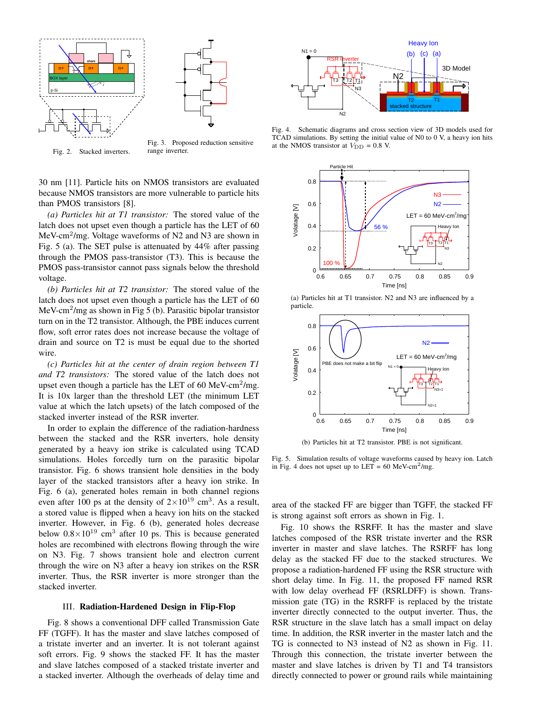



Fig. 2. Stacked inverters.

Fig. 3. Proposed reduction sensitive range inverter.

30 nm [11]. Particle hits on NMOS transistors are evaluated because NMOS transistors are more vulnerable to particle hits than PMOS transistors [8].

*(a) Particles hit at T1 transistor:* The stored value of the latch does not upset even though a particle has the LET of 60 MeV-cm<sup>2</sup> /mg. Voltage waveforms of N2 and N3 are shown in Fig. 5 (a). The SET pulse is attenuated by 44% after passing through the PMOS pass-transistor (T3). This is because the PMOS pass-transistor cannot pass signals below the threshold voltage.

*(b) Particles hit at T2 transistor:* The stored value of the latch does not upset even though a particle has the LET of 60 MeV-cm<sup>2</sup>/mg as shown in Fig 5 (b). Parasitic bipolar transistor turn on in the T2 transistor. Although, the PBE induces current flow, soft error rates does not increase because the voltage of drain and source on T2 is must be equal due to the shorted wire.

*(c) Particles hit at the center of drain region between T1 and T2 transistors:* The stored value of the latch does not upset even though a particle has the LET of 60 MeV-cm<sup>2</sup>/mg. It is 10x larger than the threshold LET (the minimum LET value at which the latch upsets) of the latch composed of the stacked inverter instead of the RSR inverter.

In order to explain the difference of the radiation-hardness between the stacked and the RSR inverters, hole density generated by a heavy ion strike is calculated using TCAD simulations. Holes forcedly turn on the parasitic bipolar transistor. Fig. 6 shows transient hole densities in the body layer of the stacked transistors after a heavy ion strike. In Fig. 6 (a), generated holes remain in both channel regions even after 100 ps at the density of  $2 \times 10^{19}$  cm<sup>3</sup>. As a result, a stored value is flipped when a heavy ion hits on the stacked inverter. However, in Fig. 6 (b), generated holes decrease below  $0.8 \times 10^{19}$  cm<sup>3</sup> after 10 ps. This is because generated holes are recombined with electrons flowing through the wire on N3. Fig. 7 shows transient hole and electron current through the wire on N3 after a heavy ion strikes on the RSR inverter. Thus, the RSR inverter is more stronger than the stacked inverter.

#### III. Radiation-Hardened Design in Flip-Flop

Fig. 8 shows a conventional DFF called Transmission Gate FF (TGFF). It has the master and slave latches composed of a tristate inverter and an inverter. It is not tolerant against soft errors. Fig. 9 shows the stacked FF. It has the master and slave latches composed of a stacked tristate inverter and a stacked inverter. Although the overheads of delay time and



Fig. 4. Schematic diagrams and cross section view of 3D models used for TCAD simulations. By setting the initial value of N0 to 0 V, a heavy ion hits at the NMOS transistor at  $V_{\text{DD}} = 0.8$  V.



(a) Particles hit at T1 transistor. N2 and N3 are influenced by a particle.



(b) Particles hit at T2 transistor. PBE is not significant.

Fig. 5. Simulation results of voltage waveforms caused by heavy ion. Latch in Fig. 4 does not upset up to  $LET = 60$  MeV-cm<sup>2</sup>/mg.

area of the stacked FF are bigger than TGFF, the stacked FF is strong against soft errors as shown in Fig. 1.

Fig. 10 shows the RSRFF. It has the master and slave latches composed of the RSR tristate inverter and the RSR inverter in master and slave latches. The RSRFF has long delay as the stacked FF due to the stacked structures. We propose a radiation-hardened FF using the RSR structure with short delay time. In Fig. 11, the proposed FF named RSR with low delay overhead FF (RSRLDFF) is shown. Transmission gate (TG) in the RSRFF is replaced by the tristate inverter directly connected to the output inverter. Thus, the RSR structure in the slave latch has a small impact on delay time. In addition, the RSR inverter in the master latch and the TG is connected to N3 instead of N2 as shown in Fig. 11. Through this connection, the tristate inverter between the master and slave latches is driven by T1 and T4 transistors directly connected to power or ground rails while maintaining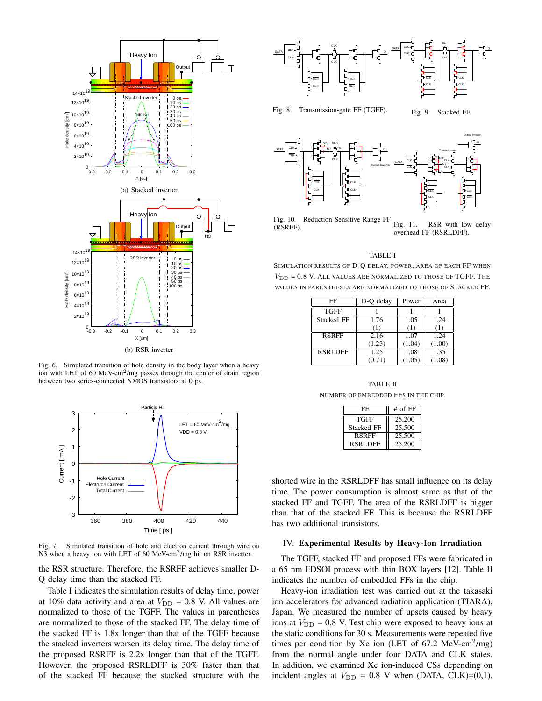

Fig. 6. Simulated transition of hole density in the body layer when a heavy ion with LET of 60 MeV-cm<sup>2</sup>/mg passes through the center of drain region between two series-connected NMOS transistors at 0 ps.



Fig. 7. Simulated transition of hole and electron current through wire on N3 when a heavy ion with LET of 60 MeV-cm<sup>2</sup>/mg hit on RSR inverter.

the RSR structure. Therefore, the RSRFF achieves smaller D-Q delay time than the stacked FF.

Table I indicates the simulation results of delay time, power at 10% data activity and area at  $V_{\text{DD}} = 0.8$  V. All values are normalized to those of the TGFF. The values in parentheses are normalized to those of the stacked FF. The delay time of the stacked FF is 1.8x longer than that of the TGFF because the stacked inverters worsen its delay time. The delay time of the proposed RSRFF is 2.2x longer than that of the TGFF. However, the proposed RSRLDFF is 30% faster than that of the stacked FF because the stacked structure with the



Fig. 8. Transmission-gate FF (TGFF).

Fig. 9. Stacked FF.



Fig. 10. Reduction Sensitive Range FF (RSRFF). Fig. 11. RSR with low delay overhead FF (RSRLDFF).

#### TABLE I

SIMULATION RESULTS OF D-Q DELAY, POWER, AREA OF EACH FF WHEN  $V_{\text{DD}}$  = 0.8 V. ALL VALUES ARE NORMALIZED TO THOSE OF TGFF. THE VALUES IN PARENTHESES ARE NORMALIZED TO THOSE OF STACKED FF.

| FF                | D-O delay | Power  | Area   |
|-------------------|-----------|--------|--------|
| <b>TGFF</b>       |           |        |        |
| <b>Stacked FF</b> | 1.76      | 1.05   | 1.24   |
|                   | (1)       | (1)    | (1)    |
| <b>RSRFF</b>      | 2.16      | 1.07   | 1.24   |
|                   | (1.23)    | (1.04) | (1.00) |
| <b>RSRLDFF</b>    | 1.25      | 1.08   | 1.35   |
|                   | (0.71)    | (1.05) | (1.08) |

TABLE II NUMBER OF EMBEDDED FFS IN THE CHIP.

| FF                | $#$ of $FF$ |  |
|-------------------|-------------|--|
| <b>TGFF</b>       | 25,200      |  |
| <b>Stacked FF</b> | 25,500      |  |
| <b>RSRFF</b>      | 25,500      |  |
| <b>RSRLDFF</b>    | 25,200      |  |

shorted wire in the RSRLDFF has small influence on its delay time. The power consumption is almost same as that of the stacked FF and TGFF. The area of the RSRLDFF is bigger than that of the stacked FF. This is because the RSRLDFF has two additional transistors.

#### IV. Experimental Results by Heavy-Ion Irradiation

The TGFF, stacked FF and proposed FFs were fabricated in a 65 nm FDSOI process with thin BOX layers [12]. Table II indicates the number of embedded FFs in the chip.

Heavy-ion irradiation test was carried out at the takasaki ion accelerators for advanced radiation application (TIARA), Japan. We measured the number of upsets caused by heavy ions at  $V_{\text{DD}} = 0.8$  V. Test chip were exposed to heavy ions at the static conditions for 30 s. Measurements were repeated five times per condition by Xe ion (LET of  $67.2 \text{ MeV-cm}^2/\text{mg}$ ) from the normal angle under four DATA and CLK states. In addition, we examined Xe ion-induced CSs depending on incident angles at  $V_{\text{DD}} = 0.8$  V when (DATA, CLK)=(0,1).